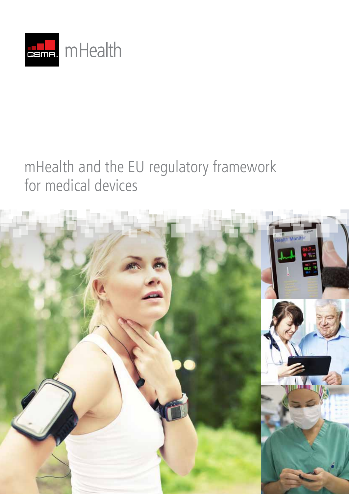

# mHealth and the EU regulatory framework for medical devices

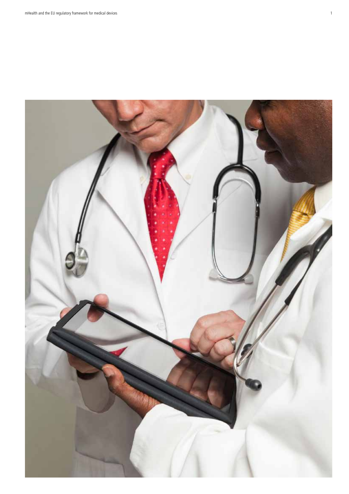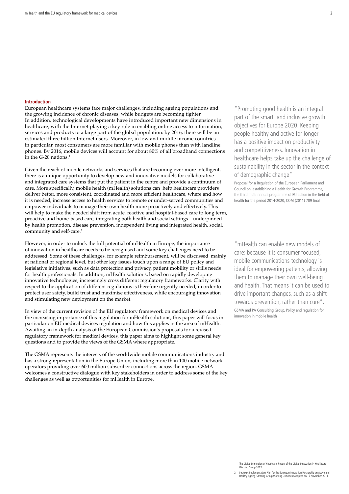#### **Introduction**

European healthcare systems face major challenges, including ageing populations and the growing incidence of chronic diseases, while budgets are becoming tighter. In addition, technological developments have introduced important new dimensions in healthcare, with the Internet playing a key role in enabling online access to information, services and products to a large part of the global population: by 2016, there will be an estimated three billion Internet users. Moreover, in low and middle income countries in particular, most consumers are more familiar with mobile phones than with landline phones. By 2016, mobile devices will account for about 80% of all broadband connections in the G-20 nations. $^1$ 

Given the reach of mobile networks and services that are becoming ever more intelligent, there is a unique opportunity to develop new and innovative models for collaborative and integrated care systems that put the patient in the centre and provide a continuum of care. More specifically, mobile health (mHealth) solutions can help healthcare providers deliver better, more consistent, coordinated and more efficient healthcare, where and how it is needed, increase access to health services to remote or under-served communities and empower individuals to manage their own health more proactively and effectively. This will help to make the needed shift from acute, reactive and hospital-based care to long term, proactive and home-based care, integrating both health and social settings – underpinned by health promotion, disease prevention, independent living and integrated health, social, community and self-care.<sup>2</sup>

However, in order to unlock the full potential of mHealth in Europe, the importance of innovation in healthcare needs to be recognised and some key challenges need to be addressed. Some of these challenges, for example reimbursement, will be discussed mainly at national or regional level, but other key issues touch upon a range of EU policy and legislative initiatives, such as data protection and privacy, patient mobility or skills needs for health professionals. In addition, mHealth solutions, based on rapidly developing innovative technologies, increasingly cross different regulatory frameworks. Clarity with respect to the application of different regulations is therefore urgently needed, in order to protect user safety, build trust and maximise effectiveness, while encouraging innovation and stimulating new deployment on the market.

In view of the current revision of the EU regulatory framework on medical devices and the increasing importance of this regulation for mHealth solutions, this paper will focus in particular on EU medical devices regulation and how this applies in the area of mHealth. Awaiting an in-depth analysis of the European Commission's proposals for a revised regulatory framework for medical devices, this paper aims to highlight some general key questions and to provide the views of the GSMA where appropriate.

The GSMA represents the interests of the worldwide mobile communications industry and has a strong representation in the Europe Union, including more than 100 mobile network operators providing over 600 million subscriber connections across the region. GSMA welcomes a constructive dialogue with key stakeholders in order to address some of the key challenges as well as opportunities for mHealth in Europe.

"Promoting good health is an integral part of the smart and inclusive growth objectives for Europe 2020. Keeping people healthy and active for longer has a positive impact on productivity and competitiveness. Innovation in healthcare helps take up the challenge of sustainability in the sector in the context of demographic change"

Proposal for a Regulation of the European Parliament and Council on establishing a Health for Growth Programme, the third multi-annual programme of EU action in the field of health for the period 2014-2020, COM (2011) 709 final

"mHealth can enable new models of care: because it is consumer focused, mobile communications technology is ideal for empowering patients, allowing them to manage their own well-being and health. That means it can be used to drive important changes, such as a shift towards prevention, rather than cure". GSMA and PA Consulting Group, Policy and regulation for innovation in mobile health

<sup>1</sup> The Digital Dimension of Heathcare, Report of the Digital Innovation in Healthcare Working Group 2012

<sup>2</sup> Strategic Implementation Plan for the European Innovation Partnership on Active and Healthy Ageing, Steering Group Working Document adopted on 17 November 2011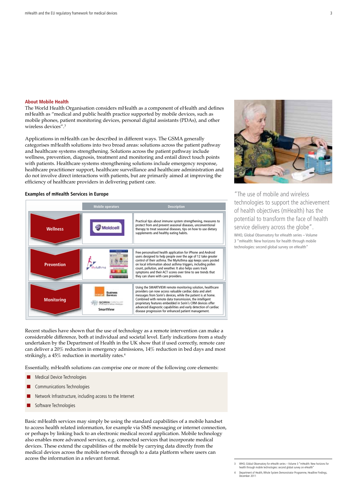### **About Mobile Health**

The World Health Organisation considers mHealth as a component of eHealth and defines mHealth as "medical and public health practice supported by mobile devices, such as mobile phones, patient monitoring devices, personal digital assistants (PDAs), and other wireless devices".3

Applications in mHealth can be described in different ways. The GSMA generally categorises mHealth solutions into two broad areas: solutions across the patient pathway and healthcare systems strengthening. Solutions across the patient pathway include wellness, prevention, diagnosis, treatment and monitoring and entail direct touch points with patients. Healthcare systems strengthening solutions include emergency response, healthcare practitioner support, healthcare surveillance and healthcare administration and do not involve direct interactions with patients, but are primarily aimed at improving the efficiency of healthcare providers in delivering patient care.



Recent studies have shown that the use of technology as a remote intervention can make a considerable difference, both at individual and societal level. Early indications from a study undertaken by the Department of Health in the UK show that if used correctly, remote care can deliver a 20% reduction in emergency admissions, 14% reduction in bed days and most strikingly, a 45% reduction in mortality rates.4

Essentially, mHealth solutions can comprise one or more of the following core elements:

- Medical Device Technologies
- Communications Technologies
- Network Infrastructure, including access to the Internet
- Software Technologies

Basic mHealth services may simply be using the standard capabilities of a mobile handset to access health related information, for example via SMS messaging or internet connection, or perhaps by linking back to an electronic medical record application. Mobile technology also enables more advanced services, e.g. connected services that incorporate medical devices. These extend the capabilities of the mobile by carrying data directly from the medical devices across the mobile network through to a data platform where users can access the information in a relevant format.



**Examples of mHealth Services in Europe** "The use of mobile and wireless technologies to support the achievement of health objectives (mHealth) has the potential to transform the face of health service delivery across the globe". WHO, Global Observatory for eHealth series – Volume 3 "mHealth: New horizons for health through mobile technologies: second global survey on eHealth"

<sup>3</sup> WHO, Global Observatory for eHealth series – Volume 3 "mHealth: New horizons for health through mobile technologies: second global survey on eHealth"

Department of Health, Whole System Demonstrator Programme, Headline Findings, December 2011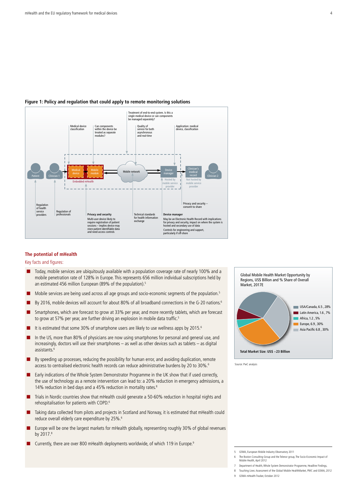

# **Figure 1: Policy and regulation that could apply to remote monitoring solutions**

# **The potential of mHealth**

Key facts and figures:

- Today, mobile services are ubiquitously available with a population coverage rate of nearly 100% and a mobile penetration rate of 128% in Europe. This represents 656 million individual subscriptions held by an estimated 456 million European (89% of the population).<sup>5</sup>
- Mobile services are being used across all age groups and socio-economic segments of the population.<sup>5</sup>
- By 2016, mobile devices will account for about 80% of all broadband connections in the G-20 nations.<sup>6</sup>
- Smartphones, which are forecast to grow at 33% per year, and more recently tablets, which are forecast to grow at 57% per year, are further driving an explosion in mobile data traffic.<sup>5</sup>
- It is estimated that some 30% of smartphone users are likely to use wellness apps by 2015.<sup>6</sup>
- In the US, more than 80% of physicians are now using smartphones for personal and general use, and increasingly, doctors will use their smartphones – as well as other devices such as tablets – as digital assistants.6
- By speeding up processes, reducing the possibility for human error, and avoiding duplication, remote access to centralised electronic health records can reduce administrative burdens by 20 to 30%.<sup>6</sup>
- Early indications of the Whole System Demonstrator Programme in the UK show that if used correctly, the use of technology as a remote intervention can lead to: a 20% reduction in emergency admissions, a 14% reduction in bed days and a 45% reduction in mortality rates.<sup>8</sup>
- Trials in Nordic countries show that mHealth could generate a 50-60% reduction in hospital nights and rehospitalisation for patients with COPD.6
- Taking data collected from pilots and projects in Scotland and Norway, it is estimated that mHealth could reduce overall elderly care expenditure by 25%.6
- Europe will be one the largest markets for mHealth globally, representing roughly 30% of global revenues by 2017.<sup>8</sup>
- Currently, there are over 800 mHealth deployments worldwide, of which 119 in Europe.<sup>9</sup>



Source: PwC analysis

- 6 The Boston Consulting Group and the Telenor group, The Socio-Economic Impact of Mobile Health, April 2012
- 7 Department of Health, Whole System Demonstrator Programme, Headline Findings,
- 8 Touching Lives: Assessment of the Global Mobile HealthMarket, PWC and GSMA, 2012
- 9 GSMA mHealth Tracker, October 2012

<sup>5</sup> GSMA, European Mobile Industry Observatory 2011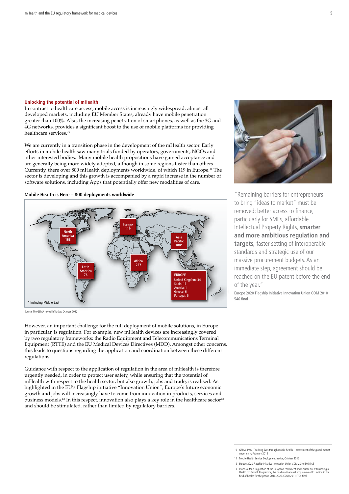#### **Unlocking the potential of mHealth**

In contrast to healthcare access, mobile access is increasingly widespread: almost all developed markets, including EU Member States, already have mobile penetration greater than 100%. Also, the increasing penetration of smartphones, as well as the 3G and 4G networks, provides a significant boost to the use of mobile platforms for providing healthcare services.10

We are currently in a transition phase in the development of the mHealth sector. Early efforts in mobile health saw many trials funded by operators, governments, NGOs and other interested bodies. Many mobile health propositions have gained acceptance and are generally being more widely adopted, although in some regions faster than others. Currently, there over 800 mHealth deployments worldwide, of which 119 in Europe.11 The sector is developing and this growth is accompanied by a rapid increase in the number of software solutions, including Apps that potentially offer new modalities of care.

# **Mobile Health is Here – 800 deployments worldwide** entries and the state of the maining barriers for entrepreneurs



Source: The GSMA mHealth Tracker, October 2012

However, an important challenge for the full deployment of mobile solutions, in Europe in particular, is regulation. For example, new mHealth devices are increasingly covered by two regulatory frameworks: the Radio Equipment and Telecommunications Terminal Equipment (RTTE) and the EU Medical Devices Directives (MDD). Amongst other concerns, this leads to questions regarding the application and coordination between these different regulations.

Guidance with respect to the application of regulation in the area of mHealth is therefore urgently needed, in order to protect user safety, while ensuring that the potential of mHealth with respect to the health sector, but also growth, jobs and trade, is realised. As highlighted in the EU's Flagship initiative "Innovation Union", Europe's future economic growth and jobs will increasingly have to come from innovation in products, services and business models.<sup>12</sup> In this respect, innovation also plays a key role in the healthcare sector<sup>13</sup> and should be stimulated, rather than limited by regulatory barriers.



to bring "ideas to market" must be removed: better access to finance, particularly for SMEs, affordable Intellectual Property Rights, **smarter and more ambitious regulation and targets,** faster setting of interoperable standards and strategic use of our massive procurement budgets. As an immediate step, agreement should be reached on the EU patent before the end of the year."

Europe 2020 Flagship Initiative Innovation Union COM 2010 546 final

12 Europe 2020 Flagship Initiative Innovation Union COM 2010 546 final

<sup>10</sup> GSMA, PWC, Touching lives through mobile health – assessment of the global market opportunity, February 2012

<sup>11</sup> Mobile Health Service Deployment tracker, October 2012

<sup>13</sup> Proposal for a Regulation of the European Parliament and Council on establishing a<br>Health for Growth Programme, the third multi-annual programme of EU action in the<br>field of health for the period 2014-2020, COM (2011) 7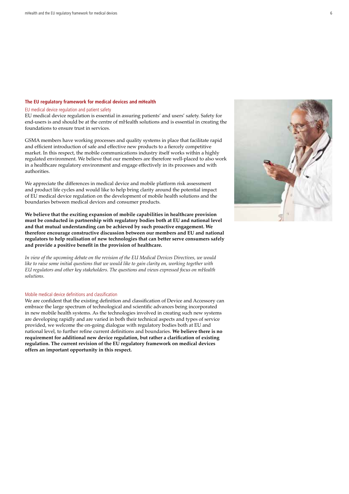#### **The EU regulatory framework for medical devices and mHealth**

#### EU medical device regulation and patient safety

EU medical device regulation is essential in assuring patients' and users' safety. Safety for end-users is and should be at the centre of mHealth solutions and is essential in creating the foundations to ensure trust in services.

GSMA members have working processes and quality systems in place that facilitate rapid and efficient introduction of safe and effective new products to a fiercely competitive market. In this respect, the mobile communications industry itself works within a highly regulated environment. We believe that our members are therefore well-placed to also work in a healthcare regulatory environment and engage effectively in its processes and with authorities.

We appreciate the differences in medical device and mobile platform risk assessment and product life cycles and would like to help bring clarity around the potential impact of EU medical device regulation on the development of mobile health solutions and the boundaries between medical devices and consumer products.

**We believe that the exciting expansion of mobile capabilities in healthcare provision must be conducted in partnership with regulatory bodies both at EU and national level and that mutual understanding can be achieved by such proactive engagement. We therefore encourage constructive discussion between our members and EU and national regulators to help realisation of new technologies that can better serve consumers safely and provide a positive benefit in the provision of healthcare.**

*In view of the upcoming debate on the revision of the EU Medical Devices Directives, we would like to raise some initial questions that we would like to gain clarity on, working together with EU regulators and other key stakeholders. The questions and views expressed focus on mHealth solutions.* 

#### Mobile medical device definitions and classification

We are confident that the existing definition and classification of Device and Accessory can embrace the large spectrum of technological and scientific advances being incorporated in new mobile health systems. As the technologies involved in creating such new systems are developing rapidly and are varied in both their technical aspects and types of service provided, we welcome the on-going dialogue with regulatory bodies both at EU and national level, to further refine current definitions and boundaries. **We believe there is no requirement for additional new device regulation, but rather a clarification of existing regulation. The current revision of the EU regulatory framework on medical devices offers an important opportunity in this respect.** 

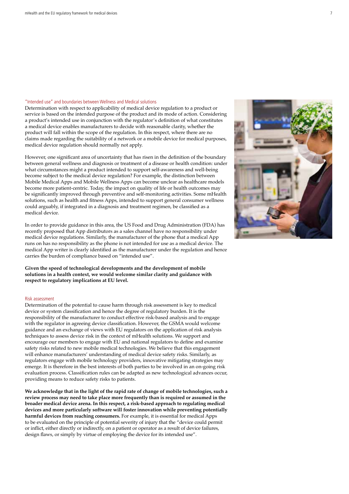#### "Intended use" and boundaries between Wellness and Medical solutions

Determination with respect to applicability of medical device regulation to a product or service is based on the intended purpose of the product and its mode of action. Considering a product's intended use in conjunction with the regulator's definition of what constitutes a medical device enables manufacturers to decide with reasonable clarity, whether the product will fall within the scope of the regulation. In this respect, where there are no claims made regarding the suitability of a network or a mobile device for medical purposes, medical device regulation should normally not apply.

However, one significant area of uncertainty that has risen in the definition of the boundary between general wellness and diagnosis or treatment of a disease or health condition: under what circumstances might a product intended to support self-awareness and well-being become subject to the medical device regulation? For example, the distinction between Mobile Medical Apps and Mobile Wellness Apps can become unclear as healthcare models become more patient-centric. Today, the impact on quality of life or health outcomes may be significantly improved through preventive and self-monitoring activities. Some mHealth solutions, such as health and fitness Apps, intended to support general consumer wellness could arguably, if integrated in a diagnosis and treatment regimen, be classified as a medical device.

In order to provide guidance in this area, the US Food and Drug Administration (FDA) has recently proposed that App distributors as a sales channel have no responsibility under medical device regulations. Similarly, the manufacturer of the phone that a medical App runs on has no responsibility as the phone is not intended for use as a medical device. The medical App writer is clearly identified as the manufacturer under the regulation and hence carries the burden of compliance based on "intended use".

**Given the speed of technological developments and the development of mobile solutions in a health context, we would welcome similar clarity and guidance with respect to regulatory implications at EU level.** 

#### Risk assessment

Determination of the potential to cause harm through risk assessment is key to medical device or system classification and hence the degree of regulatory burden. It is the responsibility of the manufacturer to conduct effective risk-based analysis and to engage with the regulator in agreeing device classification. However, the GSMA would welcome guidance and an exchange of views with EU regulators on the application of risk analysis techniques to assess device risk in the context of mHealth solutions. We support and encourage our members to engage with EU and national regulators to define and examine safety risks related to new mobile medical technologies. We believe that this engagement will enhance manufacturers' understanding of medical device safety risks. Similarly, as regulators engage with mobile technology providers, innovative mitigating strategies may emerge. It is therefore in the best interests of both parties to be involved in an on-going risk evaluation process. Classification rules can be adapted as new technological advances occur, providing means to reduce safety risks to patients.

**We acknowledge that in the light of the rapid rate of change of mobile technologies, such a review process may need to take place more frequently than is required or assumed in the broader medical device arena. In this respect, a risk-based approach to regulating medical devices and more particularly software will foster innovation while preventing potentially harmful devices from reaching consumers.** For example, it is essential for medical Apps to be evaluated on the principle of potential severity of injury that the "device could permit or inflict, either directly or indirectly, on a patient or operator as a result of device failures, design flaws, or simply by virtue of employing the device for its intended use".

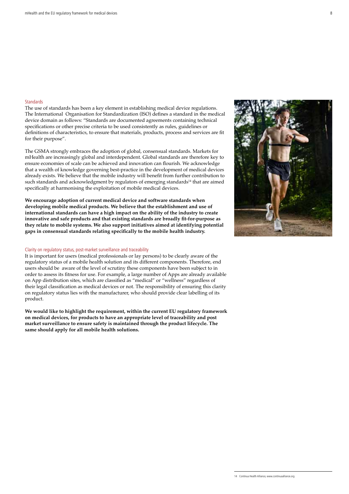# Standards

The use of standards has been a key element in establishing medical device regulations. The International Organisation for Standardization (ISO) defines a standard in the medical device domain as follows: "Standards are documented agreements containing technical specifications or other precise criteria to be used consistently as rules, guidelines or definitions of characteristics, to ensure that materials, products, process and services are fit for their purpose".

The GSMA strongly embraces the adoption of global, consensual standards. Markets for mHealth are increasingly global and interdependent. Global standards are therefore key to ensure economies of scale can be achieved and innovation can flourish. We acknowledge that a wealth of knowledge governing best-practice in the development of medical devices already exists. We believe that the mobile industry will benefit from further contribution to such standards and acknowledgment by regulators of emerging standards<sup>14</sup> that are aimed specifically at harmonising the exploitation of mobile medical devices.

**We encourage adoption of current medical device and software standards when developing mobile medical products. We believe that the establishment and use of international standards can have a high impact on the ability of the industry to create innovative and safe products and that existing standards are broadly fit-for-purpose as they relate to mobile systems. We also support initiatives aimed at identifying potential gaps in consensual standards relating specifically to the mobile health industry.** 

#### Clarity on regulatory status, post-market surveillance and traceability

It is important for users (medical professionals or lay persons) to be clearly aware of the regulatory status of a mobile health solution and its different components. Therefore, end users should be aware of the level of scrutiny these components have been subject to in order to assess its fitness for use. For example, a large number of Apps are already available on App distribution sites, which are classified as "medical" or "wellness" regardless of their legal classification as medical devices or not. The responsibility of ensuring this clarity on regulatory status lies with the manufacturer, who should provide clear labelling of its product.

**We would like to highlight the requirement, within the current EU regulatory framework on medical devices, for products to have an appropriate level of traceability and post market surveillance to ensure safety is maintained through the product lifecycle. The same should apply for all mobile health solutions.** 

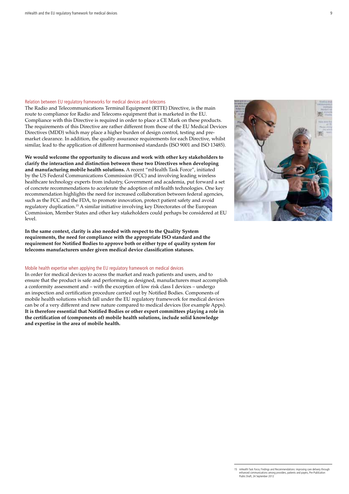#### Relation between EU regulatory frameworks for medical devices and telecoms

The Radio and Telecommunications Terminal Equipment (RTTE) Directive, is the main route to compliance for Radio and Telecoms equipment that is marketed in the EU. Compliance with this Directive is required in order to place a CE Mark on these products. The requirements of this Directive are rather different from those of the EU Medical Devices Directives (MDD) which may place a higher burden of design control, testing and premarket clearance. In addition, the quality assurance requirements for each Directive, whilst similar, lead to the application of different harmonised standards (ISO 9001 and ISO 13485).

**We would welcome the opportunity to discuss and work with other key stakeholders to clarify the interaction and distinction between these two Directives when developing and manufacturing mobile health solutions.** A recent "mHealth Task Force", initiated by the US Federal Communications Commission (FCC) and involving leading wireless healthcare technology experts from industry, Government and academia, put forward a set of concrete recommendations to accelerate the adoption of mHealth technologies. One key recommendation highlights the need for increased collaboration between federal agencies, such as the FCC and the FDA, to promote innovation, protect patient safety and avoid regulatory duplication.15 A similar initiative involving key Directorates of the European Commission, Member States and other key stakeholders could perhaps be considered at EU level.

**In the same context, clarity is also needed with respect to the Quality System requirements, the need for compliance with the appropriate ISO standard and the requirement for Notified Bodies to approve both or either type of quality system for telecoms manufacturers under given medical device classification statuses.**

# Mobile health expertise when applying the EU regulatory framework on medical devices

In order for medical devices to access the market and reach patients and users, and to ensure that the product is safe and performing as designed, manufacturers must accomplish a conformity assessment and – with the exception of low risk class I devices – undergo an inspection and certification procedure carried out by Notified Bodies. Components of mobile health solutions which fall under the EU regulatory framework for medical devices can be of a very different and new nature compared to medical devices (for example Apps). **It is therefore essential that Notified Bodies or other expert committees playing a role in the certification of (components of) mobile health solutions, include solid knowledge and expertise in the area of mobile health.** 



<sup>15</sup> mHealth Task Force, Findings and Recommendations: improving care delivery through enhanced communications among providers, patients and payers, Pre-Publication Public Draft, 24 September 2012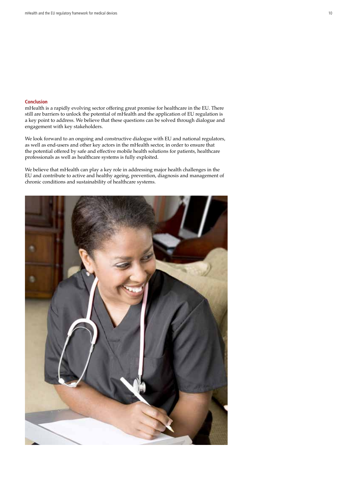# **Conclusion**

mHealth is a rapidly evolving sector offering great promise for healthcare in the EU. There still are barriers to unlock the potential of mHealth and the application of EU regulation is a key point to address. We believe that these questions can be solved through dialogue and engagement with key stakeholders.

We look forward to an ongoing and constructive dialogue with EU and national regulators, as well as end-users and other key actors in the mHealth sector, in order to ensure that the potential offered by safe and effective mobile health solutions for patients, healthcare professionals as well as healthcare systems is fully exploited.

We believe that mHealth can play a key role in addressing major health challenges in the EU and contribute to active and healthy ageing, prevention, diagnosis and management of chronic conditions and sustainability of healthcare systems.